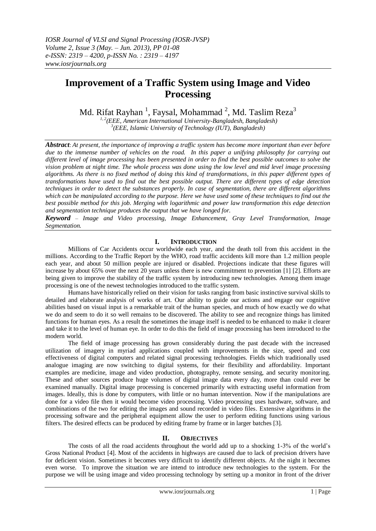# **Improvement of a Traffic System using Image and Video Processing**

Md. Rifat Rayhan  $^1$ , Faysal, Mohammad  $^2$ , Md. Taslim Reza $^3$ 

*1, 2(EEE, American International University-Bangladesh, Bangladesh) 3 (EEE, Islamic University of Technology (IUT), Bangladesh)*

*Abstract*: *At present, the importance of improving a traffic system has become more important than ever before due to the immense number of vehicles on the road. In this paper a unifying philosophy for carrying out different level of image processing has been presented in order to find the best possible outcomes to solve the vision problem at night time. The whole process was done using the low level and mid level image processing algorithms. As there is no fixed method of doing this kind of transformations, in this paper different types of transformations have used to find out the best possible output. There are different types of edge detection techniques in order to detect the substances properly. In case of segmentation, there are different algorithms which can be manipulated according to the purpose. Here we have used some of these techniques to find out the best possible method for this job. Merging with logarithmic and power law transformation this edge detection and segmentation technique produces the output that we have longed for.* 

*Keyword – Image and Video processing, Image Enhancement, Gray Level Transformation, Image Segmentation.*

## **I. INTRODUCTION**

Millions of Car Accidents occur worldwide each year, and the death toll from this accident in the millions. According to the Traffic Report by the WHO, road traffic accidents kill more than 1.2 million people each year, and about 50 million people are injured or disabled. Projections indicate that these figures will increase by about 65% over the next 20 years unless there is new commitment to prevention [1] [2]. Efforts are being given to improve the stability of the traffic system by introducing new technologies. Among them image processing is one of the newest technologies introduced to the traffic system.

Humans have historically relied on their vision for tasks ranging from basic instinctive survival skills to detailed and elaborate analysis of works of art. Our ability to guide our actions and engage our cognitive abilities based on visual input is a remarkable trait of the human species, and much of how exactly we do what we do and seem to do it so well remains to be discovered. The ability to see and recognize things has limited functions for human eyes. As a result the sometimes the image itself is needed to be enhanced to make it clearer and take it to the level of human eye. In order to do this the field of image processing has been introduced to the modern world.

The field of image processing has grown considerably during the past decade with the increased utilization of imagery in myriad applications coupled with improvements in the size, speed and cost effectiveness of digital computers and related signal processing technologies. Fields which traditionally used analogue imaging are now switching to digital systems, for their flexibility and affordability. Important examples are medicine, image and video production, photography, remote sensing, and security monitoring. These and other sources produce huge volumes of digital image data every day, more than could ever be examined manually. Digital image processing is concerned primarily with extracting useful information from images. Ideally, this is done by computers, with little or no human intervention. Now if the manipulations are done for a video file then it would become video processing. Video processing uses hardware, software, and combinations of the two for editing the images and sound recorded in video files. Extensive algorithms in the processing software and the peripheral equipment allow the user to perform editing functions using various filters. The desired effects can be produced by editing frame by frame or in larger batches [3].

## **II. OBJECTIVES**

The costs of all the road accidents throughout the world add up to a shocking 1-3% of the world's Gross National Product [4]. Most of the accidents in highways are caused due to lack of precision drivers have for deficient vision. Sometimes it becomes very difficult to identify different objects. At the night it becomes even worse. To improve the situation we are intend to introduce new technologies to the system. For the purpose we will be using image and video processing technology by setting up a monitor in front of the driver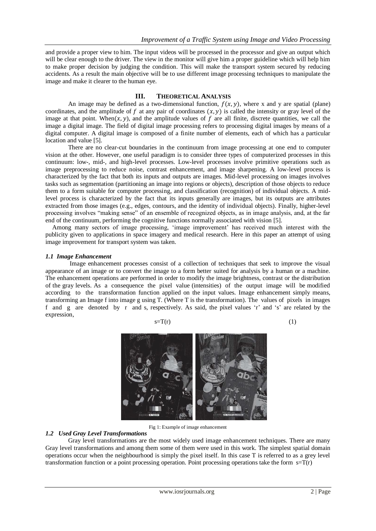and provide a proper view to him. The input videos will be processed in the processor and give an output which will be clear enough to the driver. The view in the monitor will give him a proper guideline which will help him to make proper decision by judging the condition. This will make the transport system secured by reducing accidents. As a result the main objective will be to use different image processing techniques to manipulate the image and make it clearer to the human eye.

#### **III. THEORETICAL ANALYSIS**

An image may be defined as a two-dimensional function,  $f(x, y)$ , where x and y are spatial (plane) coordinates, and the amplitude of f at any pair of coordinates  $(x, y)$  is called the intensity or gray level of the image at that point. When $(x, y)$ , and the amplitude values of f are all finite, discrete quantities, we call the image a digital image. The field of digital image processing refers to processing digital images by means of a digital computer. A digital image is composed of a finite number of elements, each of which has a particular location and value [5].

There are no clear-cut boundaries in the continuum from image processing at one end to computer vision at the other. However, one useful paradigm is to consider three types of computerized processes in this continuum: low-, mid-, and high-level processes. Low-level processes involve primitive operations such as image preprocessing to reduce noise, contrast enhancement, and image sharpening. A low-level process is characterized by the fact that both its inputs and outputs are images. Mid-level processing on images involves tasks such as segmentation (partitioning an image into regions or objects), description of those objects to reduce them to a form suitable for computer processing, and classification (recognition) of individual objects. A midlevel process is characterized by the fact that its inputs generally are images, but its outputs are attributes extracted from those images (e.g., edges, contours, and the identity of individual objects). Finally, higher-level processing involves "making sense" of an ensemble of recognized objects, as in image analysis, and, at the far end of the continuum, performing the cognitive functions normally associated with vision [5].

Among many sectors of image processing, 'image improvement' has received much interest with the publicity given to applications in space imagery and medical research. Here in this paper an attempt of using image improvement for transport system was taken.

#### *1.1 Image Enhancement*

Image enhancement processes consist of a collection of techniques that seek to improve the visual appearance of an image or to convert the image to a form better suited for analysis by a human or a machine. The enhancement operations are performed in order to modify the image brightness, contrast or the distribution of the gray levels. As a consequence the pixel value (intensities) of the output image will be modified according to the transformation function applied on the input values. Image enhancement simply means, transforming an Image f into image g using T. (Where T is the transformation). The values of pixels in images f and g are denoted by r and s, respectively. As said, the pixel values 'r' and 's' are related by the expression,

 $s=T(r)$  (1)



Fig 1: Example of image enhancement

## *1.2 Used Gray Level Transformations*

Gray level transformations are the most widely used image enhancement techniques. There are many Gray level transformations and among them some of them were used in this work. The simplest spatial domain operations occur when the neighbourhood is simply the pixel itself. In this case T is referred to as a grey level transformation function or a point processing operation. Point processing operations take the form  $s=T(r)$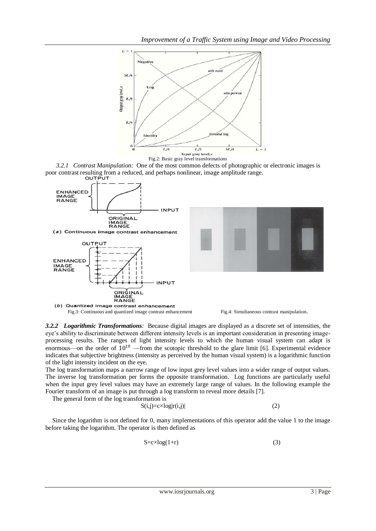

 *3.2.1 Contrast Manipulation:* One of the most common defects of photographic or electronic images is poor contrast resulting from a reduced, and perhaps nonlinear, image amplitude range.





(b) Quantized image contrast enhancement<br>Fig.4: Simultaneous contrast manipulation.<br>Fig.4: Simultaneous contrast manipulation.



*3.2.2 Logarithmic Transformations:* Because digital images are displayed as a discrete set of intensities, the eye's ability to discriminate between different intensity levels is an important consideration in presenting imageprocessing results. The ranges of light intensity levels to which the human visual system can adapt is enormous—on the order of  $10^{10}$  —from the scotopic threshold to the glare limit [6]. Experimental evidence indicates that subjective brightness (intensity as perceived by the human visual system) is a logarithmic function of the light intensity incident on the eye.

The log transformation maps a narrow range of low input grey level values into a wider range of output values. The inverse log transformation per forms the opposite transformation. Log functions are particularly useful when the input grey level values may have an extremely large range of values. In the following example the Fourier transform of an image is put through a log transform to reveal more details [7].

The general form of the log transformation is

$$
S(i,j)=c\times log|r(i,j)|
$$
 (2)

Since the logarithm is not defined for 0, many implementations of this operator add the value 1 to the image before taking the logarithm. The operator is then defined as

$$
S = c \times log(1+r)
$$
 (3)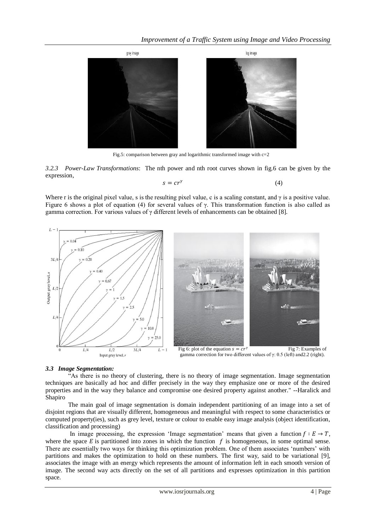

Fig.5: comparison between gray and logarithmic transformed image with  $c=2$ 

*3.2.3 Power-Law Transformations*: The nth power and nth root curves shown in fig.6 can be given by the expression,

$$
s = cr^{\gamma} \tag{4}
$$

Where r is the original pixel value, s is the resulting pixel value, c is a scaling constant, and  $\gamma$  is a positive value. Figure 6 shows a plot of equation (4) for several values of γ. This transformation function is also called as gamma correction. For various values of  $\gamma$  different levels of enhancements can be obtained [8].



## *3.3 Image Segmentation:*

―As there is no theory of clustering, there is no theory of image segmentation. Image segmentation techniques are basically ad hoc and differ precisely in the way they emphasize one or more of the desired properties and in the way they balance and compromise one desired property against another." --Haralick and Shapiro

The main goal of image segmentation is domain independent partitioning of an image into a set of disjoint regions that are visually different, homogeneous and meaningful with respect to some characteristics or computed property(ies), such as grey level, texture or colour to enable easy image analysis (object identification, classification and processing)

In image processing, the expression 'Image segmentation' means that given a function  $f : E \to T$ , where the space  $E$  is partitioned into zones in which the function  $f$  is homogeneous, in some optimal sense. There are essentially two ways for thinking this optimization problem. One of them associates 'numbers' with partitions and makes the optimization to hold on these numbers. The first way, said to be variational [9], associates the image with an energy which represents the amount of information left in each smooth version of image. The second way acts directly on the set of all partitions and expresses optimization in this partition space.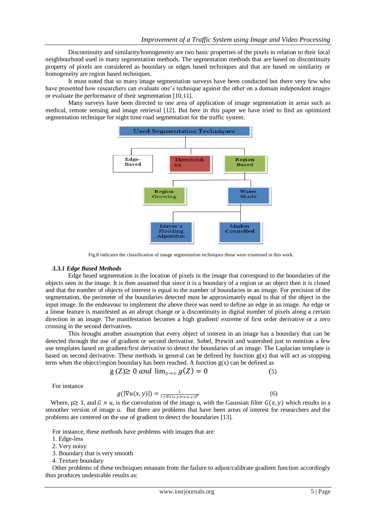Discontinuity and similarity/homogeneity are two basic properties of the pixels in relation to their local neighbourhood used in many segmentation methods. The segmentation methods that are based on discontinuity property of pixels are considered as boundary or edges based techniques and that are based on similarity or homogeneity are region based techniques.

It must noted that so many image segmentation surveys have been conducted but there very few who have presented how researchers can evaluate one's technique against the other on a domain independent images or evaluate the performance of their segmentation [10,11].

Many surveys have been directed to one area of application of image segmentation in areas such as medical, remote sensing and image retrieval [12]. But here in this paper we have tried to find an optimized segmentation technique for night time road segmentation for the traffic system.



Fig.8 indicates the classification of image segmentation techniques those were examined in this work.

#### *3.3.1 Edge Based Methods*

Edge based segmentation is the location of pixels in the image that correspond to the boundaries of the objects seen in the image. It is then assumed that since it is a boundary of a region or an object then it is closed and that the number of objects of interest is equal to the number of boundaries in an image. For precision of the segmentation, the perimeter of the boundaries detected must be approximately equal to that of the object in the input image. In the endeavour to implement the above there was need to define an edge in an image. An edge or a linear feature is manifested as an abrupt change or a discontinuity in digital number of pixels along a certain direction in an image. The manifestation becomes a high gradient/ extreme of first order derivative or a zero crossing in the second derivatives.

This brought another assumption that every object of interest in an image has a boundary that can be detected through the use of gradient or second derivative. Sobel, Prewitt and watershed just to mention a few use templates based on gradient/first derivative to detect the boundaries of an image. The Laplacian template is based on second derivative. These methods in general can be defined by function  $g(x)$  that will act as stopping term when the object/region boundary has been reached. A function  $g(x)$  can be defined as

$$
g(Z) \ge 0 \text{ and } \lim_{z \to \infty} g(Z) = 0 \tag{5}
$$

For instance

$$
g(|\nabla u(x,y)|) = \frac{1}{1+|\nabla G(x,y)\times u(x,y)|^p}
$$
 (6)

Where,  $p \ge 1$ , and  $G \times u$ , is the convolution of the image u, with the Gaussian filter  $G(x, y)$  which results in a smoother version of image u. But there are problems that have been areas of interest for researchers and the problems are centered on the use of gradient to detect the boundaries [13].

For instance, these methods have problems with images that are:

- 1. Edge-less
- 2. Very noisy
- 3. Boundary that is very smooth
- 4. Texture boundary

Other problems of these techniques emanate from the failure to adjust/calibrate gradient function accordingly thus produces undesirable results as: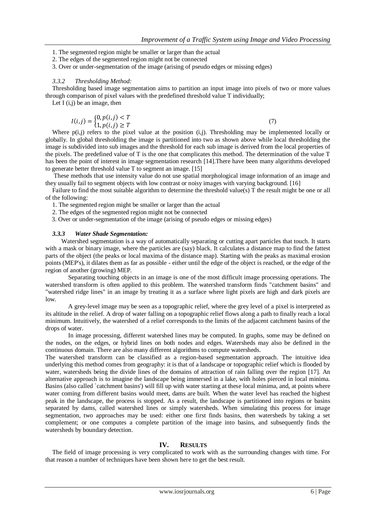- 1. The segmented region might be smaller or larger than the actual
- 2. The edges of the segmented region might not be connected
- 3. Over or under-segmentation of the image (arising of pseudo edges or missing edges)

## *3.3.2 Thresholding Method:*

Thresholding based image segmentation aims to partition an input image into pixels of two or more values through comparison of pixel values with the predefined threshold value T individually;

Let  $I(i,j)$  be an image, then

$$
I(i,j) = \begin{cases} 0, p(i,j) < T \\ 1, p(i,j) \ge T \end{cases} \tag{7}
$$

Where  $p(i,j)$  refers to the pixel value at the position  $(i,j)$ . Thresholding may be implemented locally or globally. In global thresholding the image is partitioned into two as shown above while local thresholding the image is subdivided into sub images and the threshold for each sub image is derived from the local properties of the pixels. The predefined value of T is the one that complicates this method. The determination of the value T has been the point of interest in image segmentation research [14].There have been many algorithms developed to generate better threshold value T to segment an image. [15]

These methods that use intensity value do not use spatial morphological image information of an image and they usually fail to segment objects with low contrast or noisy images with varying background. [16]

Failure to find the most suitable algorithm to determine the threshold value(s) T the result might be one or all of the following:

1. The segmented region might be smaller or larger than the actual

2. The edges of the segmented region might not be connected

3. Over or under-segmentation of the image (arising of pseudo edges or missing edges)

### *3.3.3 Water Shade Segmentation:*

Watershed segmentation is a way of automatically separating or cutting apart particles that touch. It starts with a mask or binary image, where the particles are (say) black. It calculates a distance map to find the fattest parts of the object (the peaks or local maxima of the distance map). Starting with the peaks as maximal erosion points (MEP's), it dilates them as far as possible - either until the edge of the object is reached, or the edge of the region of another (growing) MEP.

Separating touching objects in an image is one of the most difficult image processing operations. The watershed transform is often applied to this problem. The watershed transform finds "catchment basins" and "watershed ridge lines" in an image by treating it as a surface where light pixels are high and dark pixels are low.

A grey-level image may be seen as a topographic relief, where the grey level of a pixel is interpreted as its altitude in the relief. A drop of water falling on a topographic relief flows along a path to finally reach a local minimum. Intuitively, the watershed of a relief corresponds to the limits of the adjacent catchment basins of the drops of water.

In image processing, different watershed lines may be computed. In graphs, some may be defined on the nodes, on the edges, or hybrid lines on both nodes and edges. Watersheds may also be defined in the continuous domain. There are also many different algorithms to compute watersheds.

The watershed transform can be classified as a region-based segmentation approach. The intuitive idea underlying this method comes from geography: it is that of a landscape or topographic relief which is flooded by water, watersheds being the divide lines of the domains of attraction of rain falling over the region [17]. An alternative approach is to imagine the landscape being immersed in a lake, with holes pierced in local minima. Basins (also called `catchment basins') will fill up with water starting at these local minima, and, at points where water coming from different basins would meet, dams are built. When the water level has reached the highest peak in the landscape, the process is stopped. As a result, the landscape is partitioned into regions or basins separated by dams, called watershed lines or simply watersheds. When simulating this process for image segmentation, two approaches may be used: either one first finds basins, then watersheds by taking a set complement; or one computes a complete partition of the image into basins, and subsequently finds the watersheds by boundary detection.

## **IV. RESULTS**

The field of image processing is very complicated to work with as the surrounding changes with time. For that reason a number of techniques have been shown here to get the best result.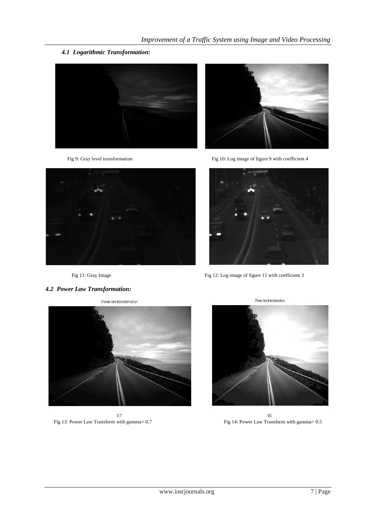*4.1 Logarithmic Transformation:*





*4.2 Power Law Transformation:*



Fig 9: Gray level transformation Fig 10: Log image of figure 9 with coefficient 4



Fig 11: Gray Image Fig 12: Log image of figure 11 with coefficient 3



 $0.7$ 



 $0.5\,$ Fig 13: Power Law Transform with gamma= 0.7 Fig 14: Power Law Transform with gamma= 0.5